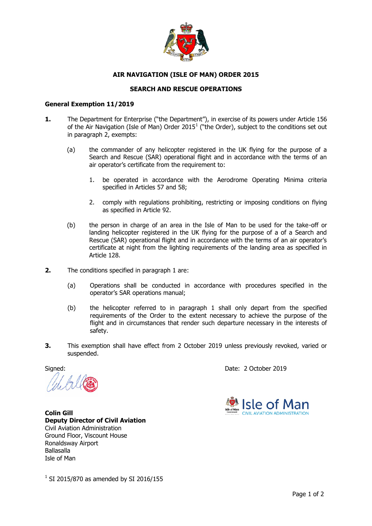

## **AIR NAVIGATION (ISLE OF MAN) ORDER 2015**

## **SEARCH AND RESCUE OPERATIONS**

## **General Exemption 11/2019**

- **1.** The Department for Enterprise ("the Department"), in exercise of its powers under Article 156 of the Air Navigation (Isle of Man) Order 2015<sup>1</sup> ("the Order), subject to the conditions set out in paragraph 2, exempts:
	- (a) the commander of any helicopter registered in the UK flying for the purpose of a Search and Rescue (SAR) operational flight and in accordance with the terms of an air operator's certificate from the requirement to:
		- 1. be operated in accordance with the Aerodrome Operating Minima criteria specified in Articles 57 and 58;
		- 2. comply with regulations prohibiting, restricting or imposing conditions on flying as specified in Article 92.
	- (b) the person in charge of an area in the Isle of Man to be used for the take-off or landing helicopter registered in the UK flying for the purpose of a of a Search and Rescue (SAR) operational flight and in accordance with the terms of an air operator's certificate at night from the lighting requirements of the landing area as specified in Article 128.
- **2.** The conditions specified in paragraph 1 are:
	- (a) Operations shall be conducted in accordance with procedures specified in the operator's SAR operations manual;
	- (b) the helicopter referred to in paragraph 1 shall only depart from the specified requirements of the Order to the extent necessary to achieve the purpose of the flight and in circumstances that render such departure necessary in the interests of safety.
- **3.** This exemption shall have effect from 2 October 2019 unless previously revoked, varied or suspended.

Signed: Date: 2 October 2019



**Colin Gill Deputy Director of Civil Aviation** Civil Aviation Administration Ground Floor, Viscount House Ronaldsway Airport Ballasalla Isle of Man

 $1$  SI 2015/870 as amended by SI 2016/155